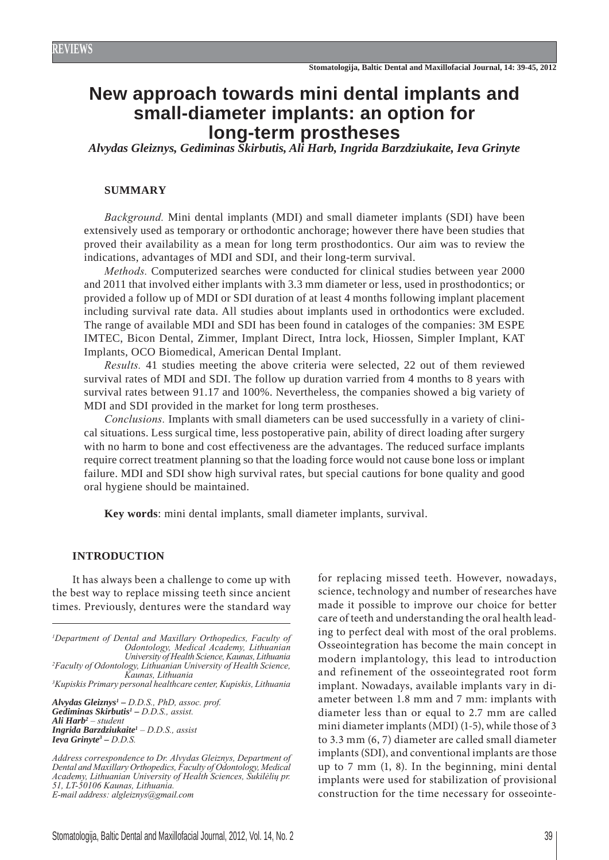# **New approach towards mini dental implants and small-diameter implants: an option for long-term prostheses**

*Alvydas Gleiznys, Gediminas Skirbutis, Ali Harb, Ingrida Barzdziukaite, Ieva Grinyte*

### **SUMMARY**

*Background.* Mini dental implants (MDI) and small diameter implants (SDI) have been extensively used as temporary or orthodontic anchorage; however there have been studies that proved their availability as a mean for long term prosthodontics. Our aim was to review the indications, advantages of MDI and SDI, and their long-term survival.

*Methods.* Computerized searches were conducted for clinical studies between year 2000 and 2011 that involved either implants with 3.3 mm diameter or less, used in prosthodontics; or provided a follow up of MDI or SDI duration of at least 4 months following implant placement including survival rate data. All studies about implants used in orthodontics were excluded. The range of available MDI and SDI has been found in cataloges of the companies: 3M ESPE IMTEC, Bicon Dental, Zimmer, Implant Direct, Intra lock, Hiossen, Simpler Implant, KAT Implants, OCO Biomedical, American Dental Implant.

*Results.* 41 studies meeting the above criteria were selected, 22 out of them reviewed survival rates of MDI and SDI. The follow up duration varried from 4 months to 8 years with survival rates between 91.17 and 100%. Nevertheless, the companies showed a big variety of MDI and SDI provided in the market for long term prostheses.

*Conclusions.* Implants with small diameters can be used successfully in a variety of clinical situations. Less surgical time, less postoperative pain, ability of direct loading after surgery with no harm to bone and cost effectiveness are the advantages. The reduced surface implants require correct treatment planning so that the loading force would not cause bone loss or implant failure. MDI and SDI show high survival rates, but special cautions for bone quality and good oral hygiene should be maintained.

**Key words**: mini dental implants, small diameter implants, survival.

#### **INTRODUCTION**

It has always been a challenge to come up with the best way to replace missing teeth since ancient times. Previously, dentures were the standard way

*1 Department of Dental and Maxillary Orthopedics, Faculty of Odontology, Medical Academy, Lithuanian University of Health Science, Kaunas, Lithuania 2 Faculty of Odontology, Lithuanian University of Health Science, Kaunas, Lithuania 3 Kupiskis Primary personal healthcare center, Kupiskis, Lithuania*

*Alvydas Gleiznys1 – D.D.S., PhD, assoc. prof. Gediminas Skirbutis1 – D.D.S., assist. Ali Harb2 – student Ingrida Barzdziukaite1 – D.D.S., assist Ieva Grinyte3 – D.D.S.*

*Address correspondence to Dr. Alvydas Gleiznys, Department of Dental and Maxillary Orthopedics, Faculty of Odontology, Medical Academy, Lithuanian University of Health Sciences, Sukilėlių pr. 51, LT-50106 Kaunas, Lithuania. E-mail address: algleiznys@gmail.com*

for replacing missed teeth. However, nowadays, science, technology and number of researches have made it possible to improve our choice for better care of teeth and understanding the oral health leading to perfect deal with most of the oral problems. Osseointegration has become the main concept in modern implantology, this lead to introduction and refinement of the osseointegrated root form implant. Nowadays, available implants vary in diameter between 1.8 mm and 7 mm: implants with diameter less than or equal to 2.7 mm are called mini diameter implants (MDI) (1-5), while those of 3 to 3.3 mm (6, 7) diameter are called small diameter implants (SDI), and conventional implants are those up to 7 mm (1, 8). In the beginning, mini dental implants were used for stabilization of provisional construction for the time necessary for osseointe-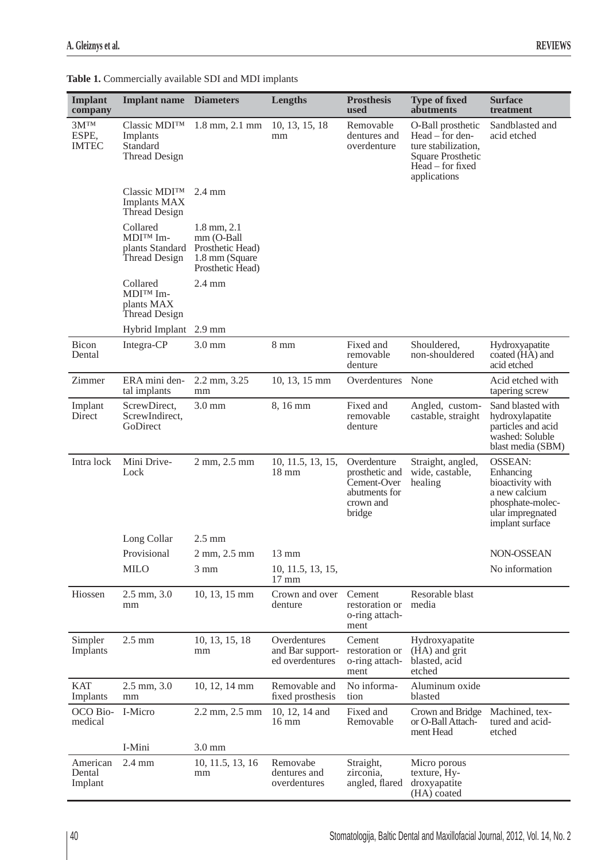| <b>Implant</b><br>company          | <b>Implant name</b> Diameters                                             |                                                                                          | Lengths                                             | <b>Prosthesis</b><br>used                                                            | <b>Type of fixed</b><br>abutments                                                                                    | <b>Surface</b><br>treatment                                                                                                 |
|------------------------------------|---------------------------------------------------------------------------|------------------------------------------------------------------------------------------|-----------------------------------------------------|--------------------------------------------------------------------------------------|----------------------------------------------------------------------------------------------------------------------|-----------------------------------------------------------------------------------------------------------------------------|
| $3M^{TM}$<br>ESPE,<br><b>IMTEC</b> | Classic MDI <sup>TM</sup><br>Implants<br>Standard<br><b>Thread Design</b> | $1.8$ mm, $2.1$ mm                                                                       | 10, 13, 15, 18<br>mm                                | Removable<br>dentures and<br>overdenture                                             | O-Ball prosthetic<br>Head – for den-<br>ture stabilization,<br>Square Prosthetic<br>Head – for fixed<br>applications | Sandblasted and<br>acid etched                                                                                              |
|                                    | $Classic MDI^{TM}$<br><b>Implants MAX</b><br><b>Thread Design</b>         | $2.4 \text{ mm}$                                                                         |                                                     |                                                                                      |                                                                                                                      |                                                                                                                             |
|                                    | Collared<br>MDI <sup>TM</sup> Im-<br>plants Standard<br>Thread Design     | $1.8$ mm, $2.1$<br>mm (O-Ball<br>Prosthetic Head)<br>1.8 mm (Square)<br>Prosthetic Head) |                                                     |                                                                                      |                                                                                                                      |                                                                                                                             |
|                                    | Collared<br>MDI™ Im-<br>plants MAX<br><b>Thread Design</b>                | $2.4 \text{ mm}$                                                                         |                                                     |                                                                                      |                                                                                                                      |                                                                                                                             |
|                                    | Hybrid Implant 2.9 mm                                                     |                                                                                          |                                                     |                                                                                      |                                                                                                                      |                                                                                                                             |
| Bicon<br>Dental                    | Integra-CP                                                                | $3.0 \text{ mm}$                                                                         | $8 \text{ mm}$                                      | Fixed and<br>removable<br>denture                                                    | Shouldered,<br>non-shouldered                                                                                        | Hydroxyapatite<br>coated (HA) and<br>acid etched                                                                            |
| Zimmer                             | ERA mini den-<br>tal implants                                             | 2.2 mm, 3.25<br>mm                                                                       | 10, 13, 15 mm                                       | Overdentures                                                                         | None                                                                                                                 | Acid etched with<br>tapering screw                                                                                          |
| Implant<br>Direct                  | ScrewDirect,<br>ScrewIndirect,<br>GoDirect                                | $3.0$ mm                                                                                 | 8,16 mm                                             | Fixed and<br>removable<br>denture                                                    | Angled, custom-<br>castable, straight                                                                                | Sand blasted with<br>hydroxylapatite<br>particles and acid<br>washed: Soluble<br>blast media (SBM)                          |
| Intra lock                         | Mini Drive-<br>Lock                                                       | 2 mm, 2.5 mm                                                                             | 10, 11.5, 13, 15,<br>$18 \text{ mm}$                | Overdenture<br>prosthetic and<br>Cement-Over<br>abutments for<br>crown and<br>bridge | Straight, angled,<br>wide, castable,<br>healing                                                                      | <b>OSSEAN:</b><br>Enhancing<br>bioactivity with<br>a new calcium<br>phosphate-molec-<br>ular impregnated<br>implant surface |
|                                    | Long Collar                                                               | $2.5 \text{ mm}$                                                                         |                                                     |                                                                                      |                                                                                                                      |                                                                                                                             |
|                                    | Provisional                                                               | 2 mm, 2.5 mm                                                                             | 13 mm                                               |                                                                                      |                                                                                                                      | NON-OSSEAN                                                                                                                  |
|                                    | <b>MILO</b>                                                               | $3 \text{ mm}$                                                                           | 10, 11.5, 13, 15,<br>$17 \text{ mm}$                |                                                                                      |                                                                                                                      | No information                                                                                                              |
| Hiossen                            | $2.5$ mm, $3.0$<br>mm                                                     | 10, 13, 15 mm                                                                            | Crown and over<br>denture                           | Cement<br>restoration or<br>o-ring attach-<br>ment                                   | Resorable blast<br>media                                                                                             |                                                                                                                             |
| Simpler<br>Implants                | $2.5 \text{ mm}$                                                          | 10, 13, 15, 18<br>mm                                                                     | Overdentures<br>and Bar support-<br>ed overdentures | Cement<br>restoration or<br>o-ring attach-<br>ment                                   | Hydroxyapatite<br>(HA) and grit<br>blasted, acid<br>etched                                                           |                                                                                                                             |
| <b>KAT</b><br>Implants             | $2.5$ mm, $3.0$<br>mm                                                     | 10, 12, 14 mm                                                                            | Removable and<br>fixed prosthesis                   | No informa-<br>tion                                                                  | Aluminum oxide<br>blasted                                                                                            |                                                                                                                             |
| OCO Bio-<br>medical                | I-Micro                                                                   | 2.2 mm, 2.5 mm                                                                           | 10, 12, 14 and<br>$16 \text{ mm}$                   | Fixed and<br>Removable                                                               | Crown and Bridge<br>or O-Ball Attach-<br>ment Head                                                                   | Machined, tex-<br>tured and acid-<br>etched                                                                                 |
|                                    | I-Mini                                                                    | $3.0 \text{ mm}$                                                                         |                                                     |                                                                                      |                                                                                                                      |                                                                                                                             |
| American<br>Dental<br>Implant      | $2.4 \text{ mm}$                                                          | 10, 11.5, 13, 16<br>mm                                                                   | Removabe<br>dentures and<br>overdentures            | Straight,<br>zirconia,<br>angled, flared                                             | Micro porous<br>texture, Hy-<br>droxyapatite<br>(HA) coated                                                          |                                                                                                                             |

**Table 1.** Commercially available SDI and MDI implants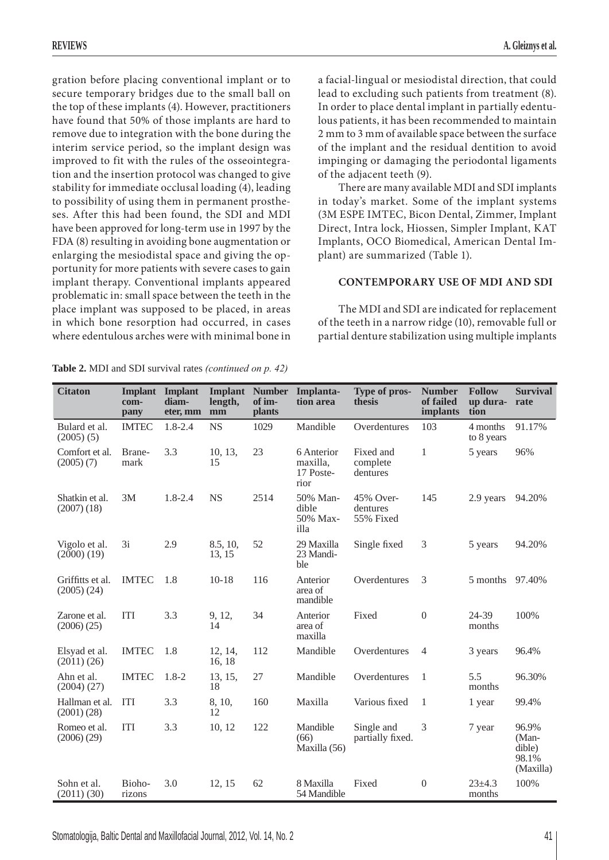gration before placing conventional implant or to secure temporary bridges due to the small ball on the top of these implants (4). However, practitioners have found that 50% of those implants are hard to remove due to integration with the bone during the interim service period, so the implant design was improved to fit with the rules of the osseointegration and the insertion protocol was changed to give stability for immediate occlusal loading (4), leading to possibility of using them in permanent prostheses. After this had been found, the SDI and MDI have been approved for long-term use in 1997 by the FDA (8) resulting in avoiding bone augmentation or enlarging the mesiodistal space and giving the opportunity for more patients with severe cases to gain implant therapy. Conventional implants appeared problematic in: small space between the teeth in the place implant was supposed to be placed, in areas in which bone resorption had occurred, in cases where edentulous arches were with minimal bone in a facial-lingual or mesiodistal direction, that could lead to excluding such patients from treatment (8). In order to place dental implant in partially edentulous patients, it has been recommended to maintain 2 mm to 3 mm of available space between the surface of the implant and the residual dentition to avoid impinging or damaging the periodontal ligaments of the adjacent teeth (9).

There are many available MDI and SDI implants in today's market. Some of the implant systems (3M ESPE IMTEC, Bicon Dental, Zimmer, Implant Direct, Intra lock, Hiossen, Simpler Implant, KAT Implants, OCO Biomedical, American Dental Implant) are summarized (Table 1).

## **CONTEMPORARY USE OF MDI AND SDI**

The MDI and SDI are indicated for replacement of the teeth in a narrow ridge (10), removable full or partial denture stabilization using multiple implants

| <b>Citaton</b>                      | <b>Implant</b><br>com-<br>pany | <b>Implant</b><br>diam-<br>eter, mm | Implant<br>length,<br>mm | <b>Number</b><br>of im-<br><b>plants</b> | Implanta-<br>tion area                      | Type of pros-<br>thesis            | <b>Number</b><br>of failed<br>implants | <b>Follow</b><br>up dura-<br>tion | <b>Survival</b><br>rate                        |
|-------------------------------------|--------------------------------|-------------------------------------|--------------------------|------------------------------------------|---------------------------------------------|------------------------------------|----------------------------------------|-----------------------------------|------------------------------------------------|
| Bulard et al.<br>$(2005)$ (5)       | <b>IMTEC</b>                   | 1.8-2.4                             | <b>NS</b>                | 1029                                     | Mandible                                    | Overdentures                       | 103                                    | 4 months<br>to 8 years            | 91.17%                                         |
| Comfort et al.<br>(2005)(7)         | Brane-<br>mark                 | 3.3                                 | 10, 13,<br>15            | 23                                       | 6 Anterior<br>maxilla,<br>17 Poste-<br>rior | Fixed and<br>complete<br>dentures  | $\mathbf{1}$                           | 5 years                           | 96%                                            |
| Shatkin et al.<br>(2007)(18)        | 3M                             | 1.8-2.4                             | <b>NS</b>                | 2514                                     | 50% Man-<br>dible<br>50% Max-<br>illa       | 45% Over-<br>dentures<br>55% Fixed | 145                                    | 2.9 years                         | 94.20%                                         |
| Vigolo et al.<br>$(2000)$ $(19)$    | 3i                             | 2.9                                 | 8.5, 10,<br>13, 15       | 52                                       | 29 Maxilla<br>23 Mandi-<br>ble              | Single fixed                       | 3                                      | 5 years                           | 94.20%                                         |
| Griffitts et al.<br>$(2005)$ $(24)$ | <b>IMTEC</b>                   | 1.8                                 | $10-18$                  | 116                                      | Anterior<br>area of<br>mandible             | Overdentures                       | 3                                      | 5 months 97.40%                   |                                                |
| Zarone et al.<br>(2006)(25)         | <b>ITI</b>                     | 3.3                                 | 9, 12,<br>14             | 34                                       | Anterior<br>area of<br>maxilla              | Fixed                              | $\Omega$                               | 24-39<br>months                   | 100%                                           |
| Elsyad et al.<br>(2011)(26)         | <b>IMTEC</b>                   | 1.8                                 | 12, 14,<br>16, 18        | 112                                      | Mandible                                    | Overdentures                       | $\overline{4}$                         | 3 years                           | 96.4%                                          |
| Ahn et al.<br>(2004) (27)           | <b>IMTEC</b>                   | $1.8 - 2$                           | 13, 15,<br>18            | 27                                       | Mandible                                    | Overdentures                       | 1                                      | 5.5<br>months                     | 96.30%                                         |
| Hallman et al.<br>(2001)(28)        | <b>ITI</b>                     | 3.3                                 | 8, 10,<br>12             | 160                                      | Maxilla                                     | Various fixed                      | $\mathbf{1}$                           | 1 year                            | 99.4%                                          |
| Romeo et al.<br>(2006)(29)          | <b>ITI</b>                     | 3.3                                 | 10, 12                   | 122                                      | Mandible<br>(66)<br>Maxilla (56)            | Single and<br>partially fixed.     | 3                                      | 7 year                            | 96.9%<br>(Man-<br>dible)<br>98.1%<br>(Maxilla) |
| Sohn et al.<br>$(2011)$ $(30)$      | Bioho-<br>rizons               | 3.0                                 | 12, 15                   | 62                                       | 8 Maxilla<br>54 Mandible                    | Fixed                              | $\Omega$                               | $23 + 4.3$<br>months              | 100%                                           |

**Table 2.** MDI and SDI survival rates *(continued on p. 42)*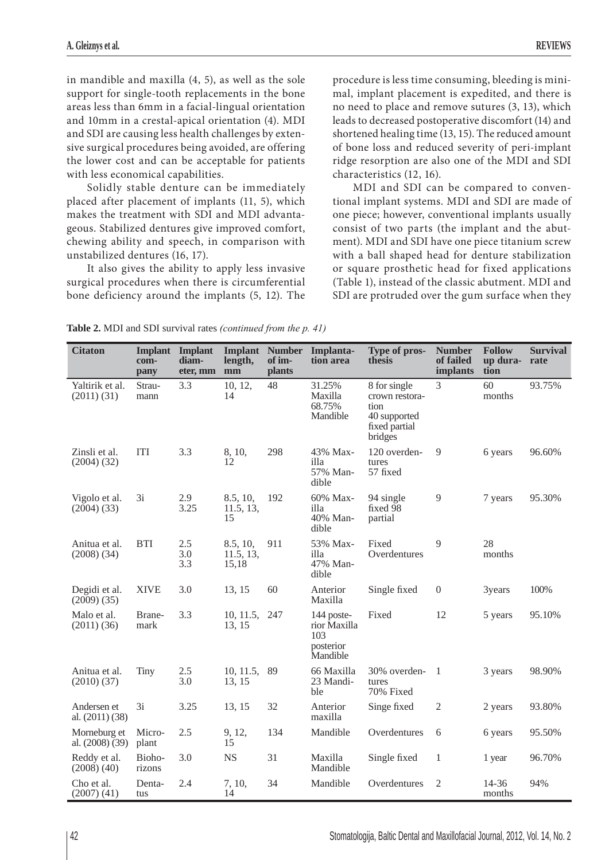in mandible and maxilla (4, 5), as well as the sole support for single-tooth replacements in the bone areas less than 6mm in a facial-lingual orientation and 10mm in a crestal-apical orientation (4). MDI and SDI are causing less health challenges by extensive surgical procedures being avoided, are offering the lower cost and can be acceptable for patients with less economical capabilities.

Solidly stable denture can be immediately placed after placement of implants (11, 5), which makes the treatment with SDI and MDI advantageous. Stabilized dentures give improved comfort, chewing ability and speech, in comparison with unstabilized dentures (16, 17).

It also gives the ability to apply less invasive surgical procedures when there is circumferential bone deficiency around the implants (5, 12). The

procedure is less time consuming, bleeding is minimal, implant placement is expedited, and there is no need to place and remove sutures (3, 13), which leads to decreased postoperative discomfort (14) and shortened healing time (13, 15). The reduced amount of bone loss and reduced severity of peri-implant ridge resorption are also one of the MDI and SDI characteristics (12, 16).

MDI and SDI can be compared to conventional implant systems. MDI and SDI are made of one piece; however, conventional implants usually consist of two parts (the implant and the abutment). MDI and SDI have one piece titanium screw with a ball shaped head for denture stabilization or square prosthetic head for fixed applications (Table 1), instead of the classic abutment. MDI and SDI are protruded over the gum surface when they

| <b>Citaton</b>                     | <b>Implant</b><br>com-<br>pany | Implant<br>diam-<br>eter, mm | length,<br>mm                  | of im-<br><b>plants</b> | Implant Number Implanta-<br>tion area                      | Type of pros-<br>thesis                                                            | <b>Number</b><br>of failed<br>implants | <b>Follow</b><br>up dura-<br>tion | <b>Survival</b><br>rate |
|------------------------------------|--------------------------------|------------------------------|--------------------------------|-------------------------|------------------------------------------------------------|------------------------------------------------------------------------------------|----------------------------------------|-----------------------------------|-------------------------|
| Yaltirik et al.<br>$(2011)$ $(31)$ | Strau-<br>mann                 | 3.3                          | 10, 12,<br>14                  | 48                      | 31.25%<br>Maxilla<br>68.75%<br>Mandible                    | 8 for single<br>crown restora-<br>tion<br>40 supported<br>fixed partial<br>bridges | 3                                      | 60<br>months                      | 93.75%                  |
| Zinsli et al.<br>$(2004)$ $(32)$   | <b>ITI</b>                     | 3.3                          | 8, 10,<br>12                   | 298                     | 43% Max-<br>illa<br>57% Man-<br>dible                      | 120 overden-<br>tures<br>57 fixed                                                  | 9                                      | 6 years                           | 96.60%                  |
| Vigolo et al.<br>$(2004)$ $(33)$   | 3i                             | 2.9<br>3.25                  | 8.5, 10,<br>11.5, 13,<br>15    | 192                     | 60% Max-<br>illa<br>40% Man-<br>dible                      | 94 single<br>fixed 98<br>partial                                                   | $\overline{9}$                         | 7 years                           | 95.30%                  |
| Anitua et al.<br>$(2008)$ $(34)$   | <b>BTI</b>                     | 2.5<br>3.0<br>3.3            | 8.5, 10,<br>11.5, 13,<br>15,18 | 911                     | 53% Max-<br>illa<br>47% Man-<br>dible                      | Fixed<br>Overdentures                                                              | 9                                      | 28<br>months                      |                         |
| Degidi et al.<br>$(2009)$ $(35)$   | <b>XIVE</b>                    | 3.0                          | 13, 15                         | 60                      | Anterior<br>Maxilla                                        | Single fixed                                                                       | $\overline{0}$                         | 3years                            | 100%                    |
| Malo et al.<br>$(2011)$ $(36)$     | Brane-<br>mark                 | 3.3                          | 10, 11.5,<br>13, 15            | 247                     | 144 poste-<br>rior Maxilla<br>103<br>posterior<br>Mandible | Fixed                                                                              | 12                                     | 5 years                           | 95.10%                  |
| Anitua et al.<br>(2010)(37)        | <b>Tiny</b>                    | 2.5<br>3.0                   | 10, 11.5,<br>13, 15            | 89                      | 66 Maxilla<br>23 Mandi-<br>ble                             | 30% overden-<br>tures<br>70% Fixed                                                 | $\overline{1}$                         | 3 years                           | 98.90%                  |
| Andersen et<br>al. $(2011)$ $(38)$ | 3i                             | 3.25                         | 13, 15                         | 32                      | Anterior<br>maxilla                                        | Singe fixed                                                                        | $\mathfrak{2}$                         | 2 years                           | 93.80%                  |
| Morneburg et<br>al. (2008) (39)    | Micro-<br>plant                | 2.5                          | 9, 12,<br>15                   | 134                     | Mandible                                                   | Overdentures                                                                       | 6                                      | 6 years                           | 95.50%                  |
| Reddy et al.<br>(2008)(40)         | Bioho-<br>rizons               | 3.0                          | <b>NS</b>                      | 31                      | Maxilla<br>Mandible                                        | Single fixed                                                                       | 1                                      | 1 year                            | 96.70%                  |
| Cho et al.<br>$(2007)$ $(41)$      | Denta-<br>tus                  | 2.4                          | 7, 10,<br>14                   | 34                      | Mandible                                                   | Overdentures                                                                       | $\overline{2}$                         | 14-36<br>months                   | 94%                     |

**Table 2.** MDI and SDI survival rates *(continued from the p. 41)*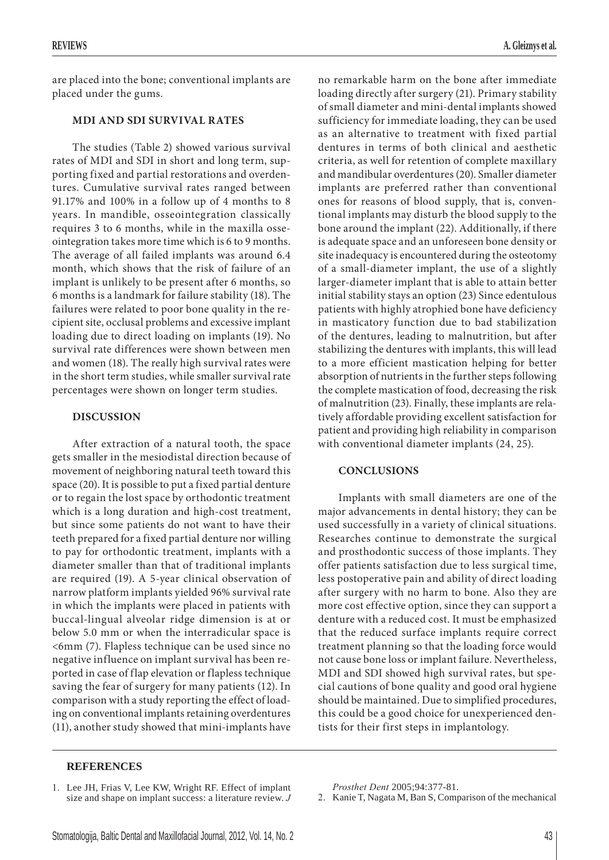are placed into the bone; conventional implants are placed under the gums.

## **MDI AND SDI SURVIVAL RATES**

The studies (Table 2) showed various survival rates of MDI and SDI in short and long term, supporting fixed and partial restorations and overdentures. Cumulative survival rates ranged between 91.17% and 100% in a follow up of 4 months to 8 years. In mandible, osseointegration classically requires 3 to 6 months, while in the maxilla osseointegration takes more time which is 6 to 9 months. The average of all failed implants was around 6.4 month, which shows that the risk of failure of an implant is unlikely to be present after 6 months, so 6 months is a landmark for failure stability (18). The failures were related to poor bone quality in the recipient site, occlusal problems and excessive implant loading due to direct loading on implants (19). No survival rate differences were shown between men and women (18). The really high survival rates were in the short term studies, while smaller survival rate percentages were shown on longer term studies.

## **DISCUSSION**

After extraction of a natural tooth, the space gets smaller in the mesiodistal direction because of movement of neighboring natural teeth toward this space (20). It is possible to put a fixed partial denture or to regain the lost space by orthodontic treatment which is a long duration and high-cost treatment, but since some patients do not want to have their teeth prepared for a fixed partial denture nor willing to pay for orthodontic treatment, implants with a diameter smaller than that of traditional implants are required (19). A 5-year clinical observation of narrow platform implants yielded 96% survival rate in which the implants were placed in patients with buccal-lingual alveolar ridge dimension is at or below 5.0 mm or when the interradicular space is <6mm (7). Flapless technique can be used since no negative influence on implant survival has been reported in case of flap elevation or flapless technique saving the fear of surgery for many patients (12). In comparison with a study reporting the effect of loading on conventional implants retaining overdentures (11), another study showed that mini-implants have

no remarkable harm on the bone after immediate loading directly after surgery (21). Primary stability of small diameter and mini-dental implants showed sufficiency for immediate loading, they can be used as an alternative to treatment with fixed partial dentures in terms of both clinical and aesthetic criteria, as well for retention of complete maxillary and mandibular overdentures (20). Smaller diameter implants are preferred rather than conventional ones for reasons of blood supply, that is, conventional implants may disturb the blood supply to the bone around the implant (22). Additionally, if there is adequate space and an unforeseen bone density or site inadequacy is encountered during the osteotomy of a small-diameter implant, the use of a slightly larger-diameter implant that is able to attain better initial stability stays an option (23) Since edentulous patients with highly atrophied bone have deficiency in masticatory function due to bad stabilization of the dentures, leading to malnutrition, but after stabilizing the dentures with implants, this will lead to a more efficient mastication helping for better absorption of nutrients in the further steps following the complete mastication of food, decreasing the risk of malnutrition (23). Finally, these implants are relatively affordable providing excellent satisfaction for patient and providing high reliability in comparison with conventional diameter implants (24, 25).

#### **CONCLUSIONS**

Implants with small diameters are one of the major advancements in dental history; they can be used successfully in a variety of clinical situations. Researches continue to demonstrate the surgical and prosthodontic success of those implants. They offer patients satisfaction due to less surgical time, less postoperative pain and ability of direct loading after surgery with no harm to bone. Also they are more cost effective option, since they can support a denture with a reduced cost. It must be emphasized that the reduced surface implants require correct treatment planning so that the loading force would not cause bone loss or implant failure. Nevertheless, MDI and SDI showed high survival rates, but special cautions of bone quality and good oral hygiene should be maintained. Due to simplified procedures, this could be a good choice for unexperienced dentists for their first steps in implantology.

## **REFERENCES**

*Prosthet Dent* 2005;94:377-81.

2. Kanie T, Nagata M, Ban S, Comparison of the mechanical

<sup>1.</sup> Lee JH, Frias V, Lee KW, Wright RF. Effect of implant size and shape on implant success: a literature review. *J*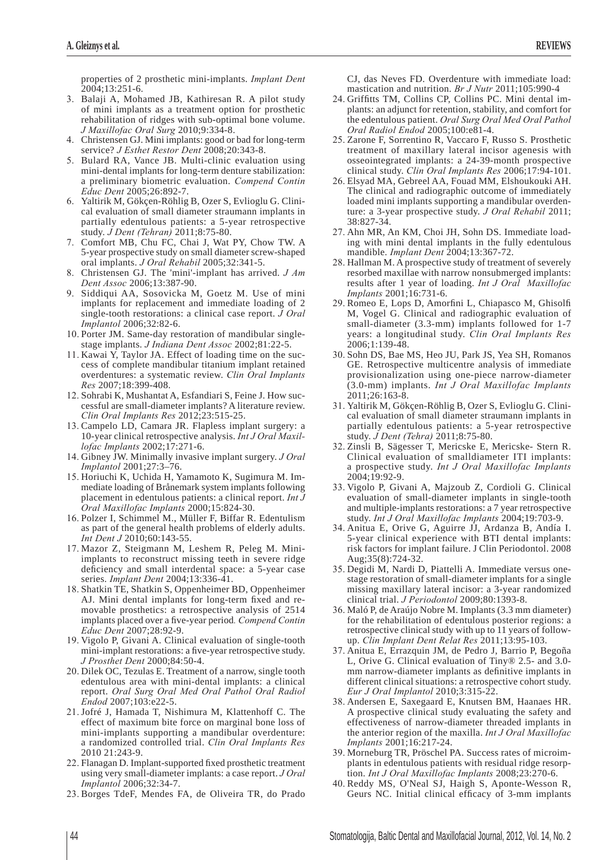properties of 2 prosthetic mini-implants. *Implant Dent* 2004;13:251-6.

- 3. Balaji A, Mohamed JB, Kathiresan R. A pilot study of mini implants as a treatment option for prosthetic rehabilitation of ridges with sub-optimal bone volume. *J Maxillofac Oral Surg* 2010;9:334-8.
- Christensen GJ. Mini implants: good or bad for long-term service? *J Esthet Restor Dent* 2008;20:343-8.
- 5. Bulard RA, Vance JB. Multi-clinic evaluation using mini-dental implants for long-term denture stabilization: a preliminary biometric evaluation. *Compend Contin Educ Dent* 2005;26:892-7.
- Yaltirik M, Gökçen-Röhlig B, Ozer S, Evlioglu G. Clinical evaluation of small diameter straumann implants in partially edentulous patients: a 5-year retrospective study. *J Dent (Tehran)* 2011;8:75-80.
- 7. Comfort MB, Chu FC, Chai J, Wat PY, Chow TW. A 5-year prospective study on small diameter screw-shaped oral implants. *J Oral Rehabil* 2005;32:341-5.
- Christensen GJ. The 'mini'-implant has arrived. *J Am Dent Assoc* 2006;13:387-90.
- 9. Siddiqui AA, Sosovicka M, Goetz M. Use of mini implants for replacement and immediate loading of 2 single-tooth restorations: a clinical case report. *J Oral Implantol* 2006;32:82-6.
- 10. Porter JM. Same-day restoration of mandibular singlestage implants. *J Indiana Dent Assoc* 2002;81:22-5.
- 11. Kawai Y, Taylor JA. Effect of loading time on the success of complete mandibular titanium implant retained overdentures: a systematic review. *Clin Oral Implants Res* 2007;18:399-408.
- 12. Sohrabi K, Mushantat A, Esfandiari S, Feine J. How successful are small-diameter implants? A literature review. *Clin Oral Implants Res* 2012;23:515-25.
- 13. Campelo LD, Camara JR. Flapless implant surgery: a 10-year clinical retrospective analysis. *Int J Oral Maxillofac Implants* 2002;17:271-6.
- Gibney JW. Minimally invasive implant surgery. *J Oral Implantol* 2001;27:3–76.
- 15. Horiuchi K, Uchida H, Yamamoto K, Sugimura M. Immediate loading of Brånemark system implants following placement in edentulous patients: a clinical report. *Int J Oral Maxillofac Implants* 2000;15:824-30.
- 16. Polzer I, Schimmel M., Müller F, Biffar R. Edentulism as part of the general health problems of elderly adults. *Int Dent J* 2010;60:143-55.
- Mazor Z, Steigmann M, Leshem R, Peleg M. Miniimplants to reconstruct missing teeth in severe ridge deficiency and small interdental space: a 5-year case series. *Implant Dent* 2004;13:336-41.
- 18. Shatkin TE, Shatkin S, Oppenheimer BD, Oppenheimer AJ. Mini dental implants for long-term fixed and removable prosthetics: a retrospective analysis of 2514 implants placed over a five-year period. *Compend Contin Educ Dent* 2007;28:92-9.
- 19. Vigolo P, Givani A. Clinical evaluation of single-tooth mini-implant restorations: a five-year retrospective study. *J Prosthet Dent* 2000;84:50-4.
- 20. Dilek OC, Tezulas E. Treatment of a narrow, single tooth edentulous area with mini-dental implants: a clinical report. *Oral Surg Oral Med Oral Pathol Oral Radiol Endod* 2007;103:e22-5.
- 21. Jofré J, Hamada T, Nishimura M, Klattenhoff C. The effect of maximum bite force on marginal bone loss of mini-implants supporting a mandibular overdenture: a randomized controlled trial. *Clin Oral Implants Res* 2010 21:243-9.
- 22. Flanagan D. Implant-supported fixed prosthetic treatment using very small-diameter implants: a case report. *J Oral Implantol* 2006;32:34-7.
- 23. Borges TdeF, Mendes FA, de Oliveira TR, do Prado

CJ, das Neves FD. Overdenture with immediate load: mastication and nutrition. *Br J Nutr* 2011;105:990-4

- 24. Griffitts TM, Collins CP, Collins PC. Mini dental implants: an adjunct for retention, stability, and comfort for the edentulous patient. *Oral Surg Oral Med Oral Pathol Oral Radiol Endod* 2005;100:e81-4.
- 25. Zarone F, Sorrentino R, Vaccaro F, Russo S. Prosthetic treatment of maxillary lateral incisor agenesis with osseointegrated implants: a 24-39-month prospective clinical study. *Clin Oral Implants Res* 2006;17:94-101.
- Elsyad MA, Gebreel AA, Fouad MM, Elshoukouki AH. The clinical and radiographic outcome of immediately loaded mini implants supporting a mandibular overdenture: a 3-year prospective study. *J Oral Rehabil* 2011; 38:827-34.
- 27. Ahn MR, An KM, Choi JH, Sohn DS. Immediate loading with mini dental implants in the fully edentulous mandible. *Implant Dent* 2004;13:367-72.
- 28. Hallman M. A prospective study of treatment of severely resorbed maxillae with narrow nonsubmerged implants: results after 1 year of loading. *Int J Oral Maxillofac Implants* 2001;16:731-6.
- 29. Romeo E, Lops D, Amorfini L, Chiapasco M, Ghisolfi M, Vogel G. Clinical and radiographic evaluation of small-diameter (3.3-mm) implants followed for 1-7 years: a longitudinal study. *Clin Oral Implants Res* 2006;1:139-48.
- Sohn DS, Bae MS, Heo JU, Park JS, Yea SH, Romanos GE. Retrospective multicentre analysis of immediate provisionalization using one-piece narrow-diameter (3.0-mm) implants. *Int J Oral Maxillofac Implants* 2011;26:163-8.
- Yaltirik M, Gökçen-Röhlig B, Ozer S, Evlioglu G. Clinical evaluation of small diameter straumann implants in partially edentulous patients: a 5-year retrospective study. *J Dent (Tehra)* 2011;8:75-80.
- 32. Zinsli B, Sägesser T, Mericske E, Mericske- Stern R. Clinical evaluation of smalldiameter ITI implants: a prospective study. *Int J Oral Maxillofac Implants* 2004;19:92-9.
- Vigolo P, Givani A, Majzoub Z, Cordioli G. Clinical evaluation of small-diameter implants in single-tooth and multiple-implants restorations: a 7 year retrospective study. *Int J Oral Maxillofac Implants* 2004;19:703-9.
- Anitua E, Orive G, Aguirre JJ, Ardanza B, Andía I. 5-year clinical experience with BTI dental implants: risk factors for implant failure. J Clin Periodontol. 2008 Aug;35(8):724-32.
- Degidi M, Nardi D, Piattelli A. Immediate versus onestage restoration of small-diameter implants for a single missing maxillary lateral incisor: a 3-year randomized clinical trial. *J Periodontol* 2009;80:1393-8.
- Maló P, de Araújo Nobre M. Implants (3.3 mm diameter) for the rehabilitation of edentulous posterior regions: a retrospective clinical study with up to 11 years of followup. *Clin Implant Dent Relat Res* 2011;13:95-103.
- 37. Anitua E, Errazquin JM, de Pedro J, Barrio P, Begoña L, Orive G. Clinical evaluation of Tiny® 2.5- and 3.0 mm narrow-diameter implants as definitive implants in different clinical situations: a retrospective cohort study. *Eur J Oral Implantol* 2010;3:315-22.
- Andersen E, Saxegaard E, Knutsen BM, Haanaes HR. A prospective clinical study evaluating the safety and effectiveness of narrow-diameter threaded implants in the anterior region of the maxilla. *Int J Oral Maxillofac Implants* 2001;16:217-24.
- Morneburg TR, Pröschel PA. Success rates of microimplants in edentulous patients with residual ridge resorption. *Int J Oral Maxillofac Implants* 2008;23:270-6.
- 40. Reddy MS, O'Neal SJ, Haigh S, Aponte-Wesson R, Geurs NC. Initial clinical efficacy of 3-mm implants